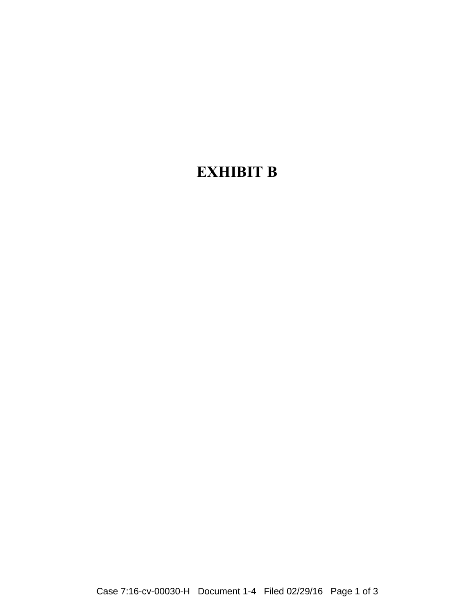## **EXHIBIT B**

Case 7:16-cv-00030-H Document 1-4 Filed 02/29/16 Page 1 of 3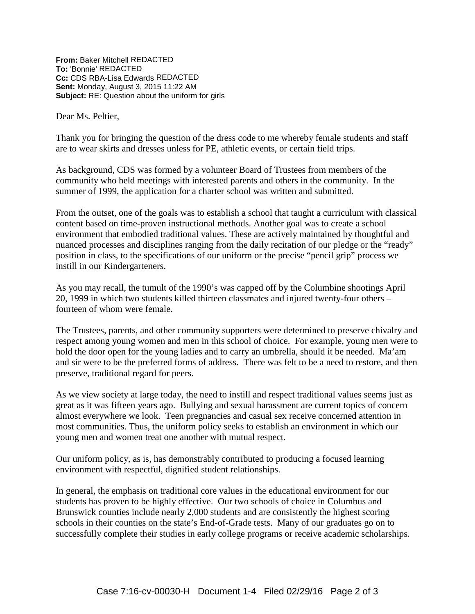**From:** Baker Mitchell REDACTED **To:** 'Bonnie' REDACTED **Cc:** CDS RBA-Lisa Edwards REDACTED **Sent:** Monday, August 3, 2015 11:22 AM **Subject:** RE: Question about the uniform for girls

Dear Ms. Peltier,

Thank you for bringing the question of the dress code to me whereby female students and staff are to wear skirts and dresses unless for PE, athletic events, or certain field trips.

As background, CDS was formed by a volunteer Board of Trustees from members of the community who held meetings with interested parents and others in the community. In the summer of 1999, the application for a charter school was written and submitted.

From the outset, one of the goals was to establish a school that taught a curriculum with classical content based on time-proven instructional methods. Another goal was to create a school environment that embodied traditional values. These are actively maintained by thoughtful and nuanced processes and disciplines ranging from the daily recitation of our pledge or the "ready" position in class, to the specifications of our uniform or the precise "pencil grip" process we instill in our Kindergarteners.

As you may recall, the tumult of the 1990's was capped off by the Columbine shootings April 20, 1999 in which two students killed thirteen classmates and injured twenty-four others – fourteen of whom were female.

The Trustees, parents, and other community supporters were determined to preserve chivalry and respect among young women and men in this school of choice. For example, young men were to hold the door open for the young ladies and to carry an umbrella, should it be needed. Ma'am and sir were to be the preferred forms of address. There was felt to be a need to restore, and then preserve, traditional regard for peers.

As we view society at large today, the need to instill and respect traditional values seems just as great as it was fifteen years ago. Bullying and sexual harassment are current topics of concern almost everywhere we look. Teen pregnancies and casual sex receive concerned attention in most communities. Thus, the uniform policy seeks to establish an environment in which our young men and women treat one another with mutual respect.

Our uniform policy, as is, has demonstrably contributed to producing a focused learning environment with respectful, dignified student relationships.

In general, the emphasis on traditional core values in the educational environment for our students has proven to be highly effective. Our two schools of choice in Columbus and Brunswick counties include nearly 2,000 students and are consistently the highest scoring schools in their counties on the state's End-of-Grade tests. Many of our graduates go on to successfully complete their studies in early college programs or receive academic scholarships.